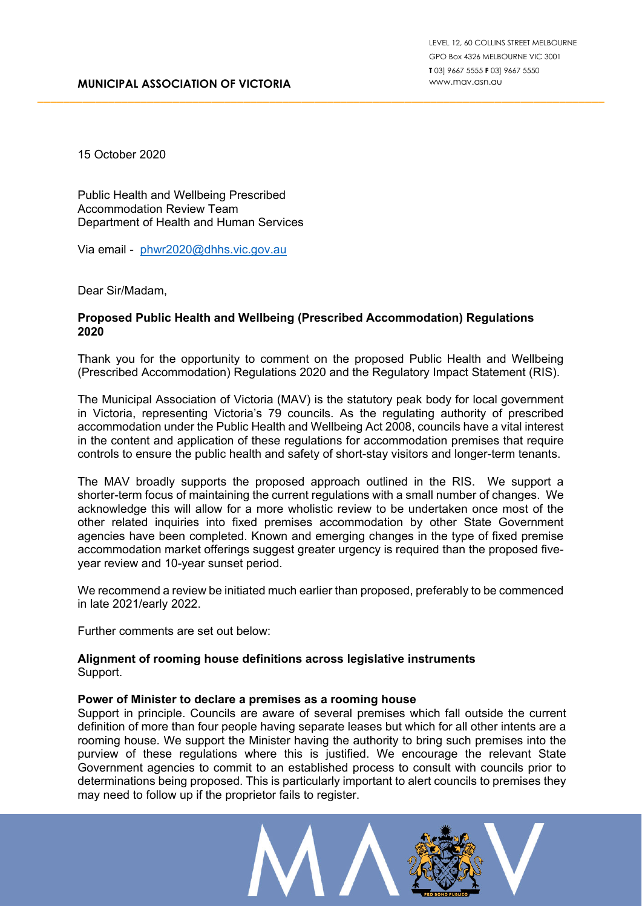15 October 2020

Public Health and Wellbeing Prescribed Accommodation Review Team Department of Health and Human Services

Via email - [phwr2020@dhhs.vic.gov.au](mailto:phwr2020@dhhs.vic.gov.au)

Dear Sir/Madam,

# **Proposed Public Health and Wellbeing (Prescribed Accommodation) Regulations 2020**

Thank you for the opportunity to comment on the proposed Public Health and Wellbeing (Prescribed Accommodation) Regulations 2020 and the Regulatory Impact Statement (RIS).

\_\_\_\_\_\_\_\_\_\_\_\_\_\_\_\_\_\_\_\_\_\_\_\_\_\_\_\_\_\_\_\_\_\_\_\_\_\_\_\_\_\_\_\_\_\_\_\_\_\_\_\_\_\_\_\_\_\_\_\_\_\_\_\_\_\_\_\_\_\_\_\_\_\_\_\_\_\_\_\_\_\_\_\_\_\_\_\_

The Municipal Association of Victoria (MAV) is the statutory peak body for local government in Victoria, representing Victoria's 79 councils. As the regulating authority of prescribed accommodation under the Public Health and Wellbeing Act 2008, councils have a vital interest in the content and application of these regulations for accommodation premises that require controls to ensure the public health and safety of short-stay visitors and longer-term tenants.

The MAV broadly supports the proposed approach outlined in the RIS. We support a shorter-term focus of maintaining the current regulations with a small number of changes. We acknowledge this will allow for a more wholistic review to be undertaken once most of the other related inquiries into fixed premises accommodation by other State Government agencies have been completed. Known and emerging changes in the type of fixed premise accommodation market offerings suggest greater urgency is required than the proposed fiveyear review and 10-year sunset period.

We recommend a review be initiated much earlier than proposed, preferably to be commenced in late 2021/early 2022.

Further comments are set out below:

#### **Alignment of rooming house definitions across legislative instruments** Support.

## **Power of Minister to declare a premises as a rooming house**

Support in principle. Councils are aware of several premises which fall outside the current definition of more than four people having separate leases but which for all other intents are a rooming house. We support the Minister having the authority to bring such premises into the purview of these regulations where this is justified. We encourage the relevant State Government agencies to commit to an established process to consult with councils prior to determinations being proposed. This is particularly important to alert councils to premises they may need to follow up if the proprietor fails to register.

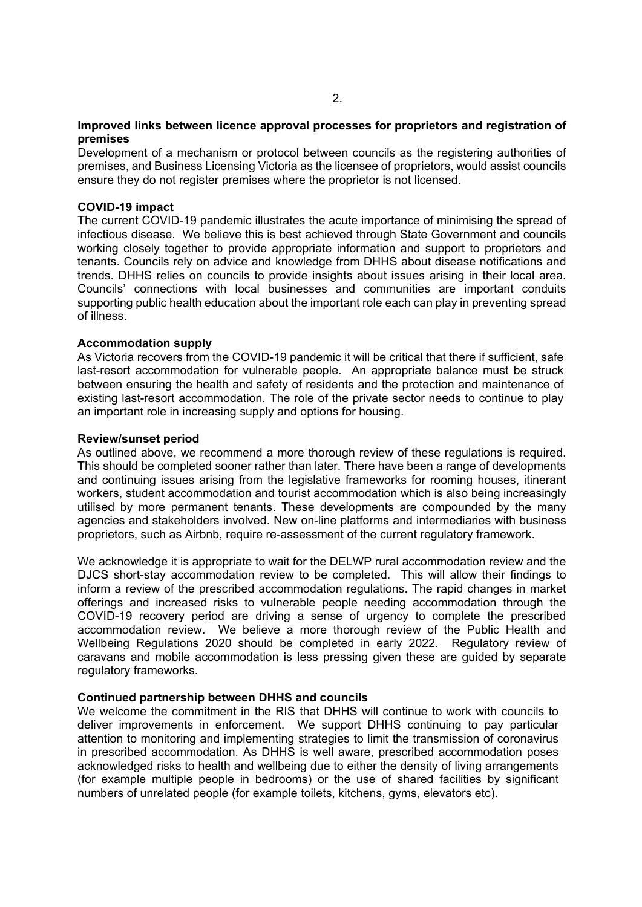## **Improved links between licence approval processes for proprietors and registration of premises**

Development of a mechanism or protocol between councils as the registering authorities of premises, and Business Licensing Victoria as the licensee of proprietors, would assist councils ensure they do not register premises where the proprietor is not licensed.

## **COVID-19 impact**

The current COVID-19 pandemic illustrates the acute importance of minimising the spread of infectious disease. We believe this is best achieved through State Government and councils working closely together to provide appropriate information and support to proprietors and tenants. Councils rely on advice and knowledge from DHHS about disease notifications and trends. DHHS relies on councils to provide insights about issues arising in their local area. Councils' connections with local businesses and communities are important conduits supporting public health education about the important role each can play in preventing spread of illness.

## **Accommodation supply**

As Victoria recovers from the COVID-19 pandemic it will be critical that there if sufficient, safe last-resort accommodation for vulnerable people. An appropriate balance must be struck between ensuring the health and safety of residents and the protection and maintenance of existing last-resort accommodation. The role of the private sector needs to continue to play an important role in increasing supply and options for housing.

## **Review/sunset period**

As outlined above, we recommend a more thorough review of these regulations is required. This should be completed sooner rather than later. There have been a range of developments and continuing issues arising from the legislative frameworks for rooming houses, itinerant workers, student accommodation and tourist accommodation which is also being increasingly utilised by more permanent tenants. These developments are compounded by the many agencies and stakeholders involved. New on-line platforms and intermediaries with business proprietors, such as Airbnb, require re-assessment of the current regulatory framework.

We acknowledge it is appropriate to wait for the DELWP rural accommodation review and the DJCS short-stay accommodation review to be completed. This will allow their findings to inform a review of the prescribed accommodation regulations. The rapid changes in market offerings and increased risks to vulnerable people needing accommodation through the COVID-19 recovery period are driving a sense of urgency to complete the prescribed accommodation review. We believe a more thorough review of the Public Health and Wellbeing Regulations 2020 should be completed in early 2022. Regulatory review of caravans and mobile accommodation is less pressing given these are guided by separate regulatory frameworks.

## **Continued partnership between DHHS and councils**

We welcome the commitment in the RIS that DHHS will continue to work with councils to deliver improvements in enforcement. We support DHHS continuing to pay particular attention to monitoring and implementing strategies to limit the transmission of coronavirus in prescribed accommodation. As DHHS is well aware, prescribed accommodation poses acknowledged risks to health and wellbeing due to either the density of living arrangements (for example multiple people in bedrooms) or the use of shared facilities by significant numbers of unrelated people (for example toilets, kitchens, gyms, elevators etc).